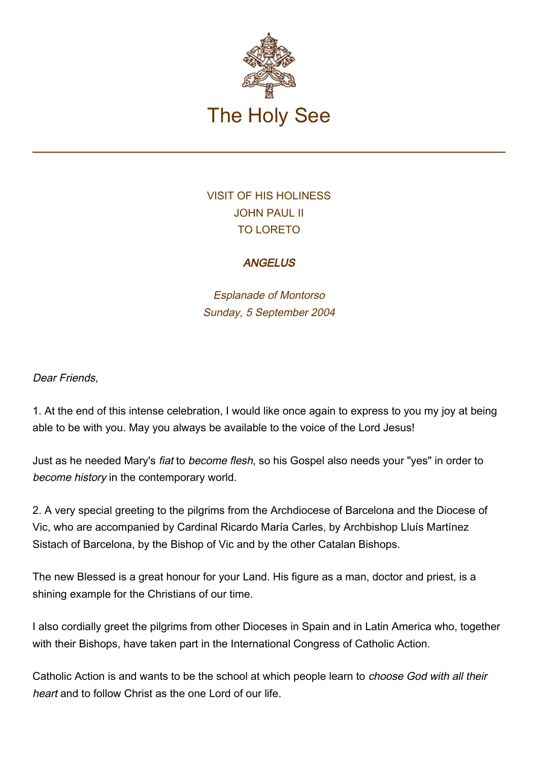

## VISIT OF HIS HOLINESS JOHN PAUL II TO LORETO

## **ANGELUS**

Esplanade of Montorso Sunday, 5 September 2004

## Dear Friends,

1. At the end of this intense celebration, I would like once again to express to you my joy at being able to be with you. May you always be available to the voice of the Lord Jesus!

Just as he needed Mary's fiat to become flesh, so his Gospel also needs your "yes" in order to become history in the contemporary world.

2. A very special greeting to the pilgrims from the Archdiocese of Barcelona and the Diocese of Vic, who are accompanied by Cardinal Ricardo María Carles, by Archbishop Lluís Martínez Sistach of Barcelona, by the Bishop of Vic and by the other Catalan Bishops.

The new Blessed is a great honour for your Land. His figure as a man, doctor and priest, is a shining example for the Christians of our time.

I also cordially greet the pilgrims from other Dioceses in Spain and in Latin America who, together with their Bishops, have taken part in the International Congress of Catholic Action.

Catholic Action is and wants to be the school at which people learn to choose God with all their heart and to follow Christ as the one Lord of our life.